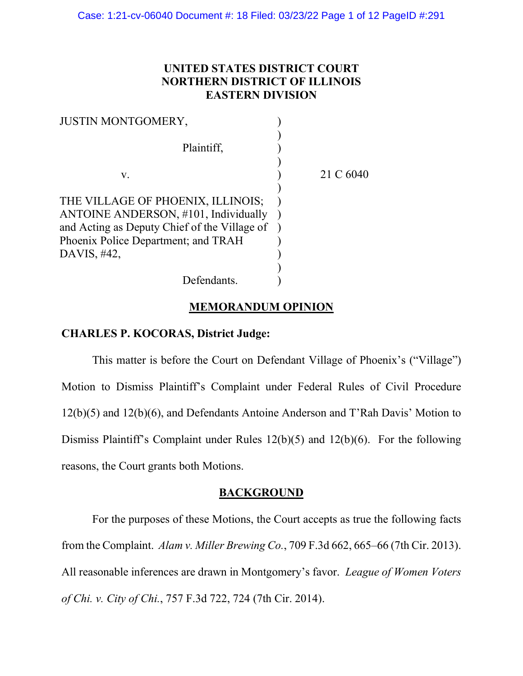# **UNITED STATES DISTRICT COURT NORTHERN DISTRICT OF ILLINOIS EASTERN DIVISION**

| <b>JUSTIN MONTGOMERY,</b>                                                                                                                                                       |           |
|---------------------------------------------------------------------------------------------------------------------------------------------------------------------------------|-----------|
| Plaintiff,                                                                                                                                                                      |           |
| v.                                                                                                                                                                              | 21 C 6040 |
| THE VILLAGE OF PHOENIX, ILLINOIS;<br>ANTOINE ANDERSON, #101, Individually<br>and Acting as Deputy Chief of the Village of<br>Phoenix Police Department; and TRAH<br>DAVIS, #42, |           |
| Defendants.                                                                                                                                                                     |           |

## **MEMORANDUM OPINION**

## **CHARLES P. KOCORAS, District Judge:**

This matter is before the Court on Defendant Village of Phoenix's ("Village") Motion to Dismiss Plaintiff's Complaint under Federal Rules of Civil Procedure 12(b)(5) and 12(b)(6), and Defendants Antoine Anderson and T'Rah Davis' Motion to Dismiss Plaintiff's Complaint under Rules 12(b)(5) and 12(b)(6). For the following reasons, the Court grants both Motions.

### **BACKGROUND**

For the purposes of these Motions, the Court accepts as true the following facts from the Complaint. *Alam v. Miller Brewing Co.*, 709 F.3d 662, 665–66 (7th Cir. 2013). All reasonable inferences are drawn in Montgomery's favor. *League of Women Voters of Chi. v. City of Chi.*, 757 F.3d 722, 724 (7th Cir. 2014).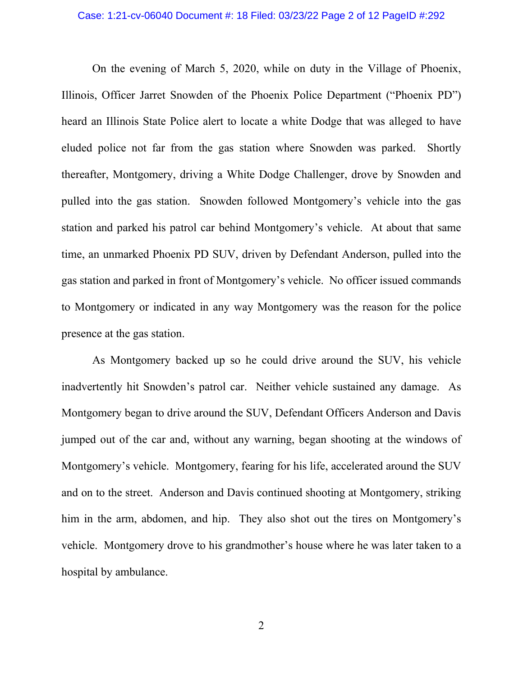### Case: 1:21-cv-06040 Document #: 18 Filed: 03/23/22 Page 2 of 12 PageID #:292

On the evening of March 5, 2020, while on duty in the Village of Phoenix, Illinois, Officer Jarret Snowden of the Phoenix Police Department ("Phoenix PD") heard an Illinois State Police alert to locate a white Dodge that was alleged to have eluded police not far from the gas station where Snowden was parked. Shortly thereafter, Montgomery, driving a White Dodge Challenger, drove by Snowden and pulled into the gas station. Snowden followed Montgomery's vehicle into the gas station and parked his patrol car behind Montgomery's vehicle. At about that same time, an unmarked Phoenix PD SUV, driven by Defendant Anderson, pulled into the gas station and parked in front of Montgomery's vehicle. No officer issued commands to Montgomery or indicated in any way Montgomery was the reason for the police presence at the gas station.

As Montgomery backed up so he could drive around the SUV, his vehicle inadvertently hit Snowden's patrol car. Neither vehicle sustained any damage. As Montgomery began to drive around the SUV, Defendant Officers Anderson and Davis jumped out of the car and, without any warning, began shooting at the windows of Montgomery's vehicle. Montgomery, fearing for his life, accelerated around the SUV and on to the street. Anderson and Davis continued shooting at Montgomery, striking him in the arm, abdomen, and hip. They also shot out the tires on Montgomery's vehicle. Montgomery drove to his grandmother's house where he was later taken to a hospital by ambulance.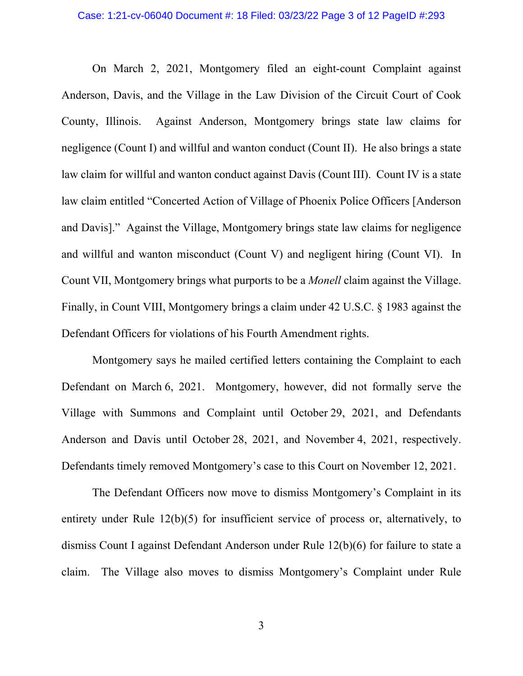#### Case: 1:21-cv-06040 Document #: 18 Filed: 03/23/22 Page 3 of 12 PageID #:293

On March 2, 2021, Montgomery filed an eight-count Complaint against Anderson, Davis, and the Village in the Law Division of the Circuit Court of Cook County, Illinois. Against Anderson, Montgomery brings state law claims for negligence (Count I) and willful and wanton conduct (Count II). He also brings a state law claim for willful and wanton conduct against Davis (Count III). Count IV is a state law claim entitled "Concerted Action of Village of Phoenix Police Officers [Anderson and Davis]." Against the Village, Montgomery brings state law claims for negligence and willful and wanton misconduct (Count V) and negligent hiring (Count VI). In Count VII, Montgomery brings what purports to be a *Monell* claim against the Village. Finally, in Count VIII, Montgomery brings a claim under 42 U.S.C. § 1983 against the Defendant Officers for violations of his Fourth Amendment rights.

Montgomery says he mailed certified letters containing the Complaint to each Defendant on March 6, 2021. Montgomery, however, did not formally serve the Village with Summons and Complaint until October 29, 2021, and Defendants Anderson and Davis until October 28, 2021, and November 4, 2021, respectively. Defendants timely removed Montgomery's case to this Court on November 12, 2021.

The Defendant Officers now move to dismiss Montgomery's Complaint in its entirety under Rule 12(b)(5) for insufficient service of process or, alternatively, to dismiss Count I against Defendant Anderson under Rule 12(b)(6) for failure to state a claim. The Village also moves to dismiss Montgomery's Complaint under Rule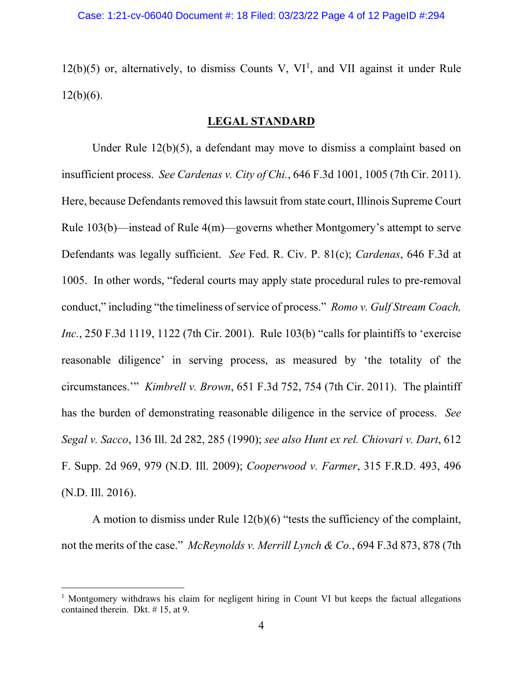$12(b)(5)$  $12(b)(5)$  or, alternatively, to dismiss Counts V, VI<sup>1</sup>, and VII against it under Rule  $12(b)(6)$ .

### **LEGAL STANDARD**

Under Rule 12(b)(5), a defendant may move to dismiss a complaint based on insufficient process. *See Cardenas v. City of Chi.*, 646 F.3d 1001, 1005 (7th Cir. 2011). Here, because Defendants removed this lawsuit from state court, Illinois Supreme Court Rule 103(b)—instead of Rule 4(m)—governs whether Montgomery's attempt to serve Defendants was legally sufficient. *See* Fed. R. Civ. P. 81(c); *Cardenas*, 646 F.3d at 1005. In other words, "federal courts may apply state procedural rules to pre-removal conduct," including "the timeliness of service of process." *Romo v. Gulf Stream Coach, Inc.*, 250 F.3d 1119, 1122 (7th Cir. 2001). Rule 103(b) "calls for plaintiffs to 'exercise reasonable diligence' in serving process, as measured by 'the totality of the circumstances.'" *Kimbrell v. Brown*, 651 F.3d 752, 754 (7th Cir. 2011). The plaintiff has the burden of demonstrating reasonable diligence in the service of process. *See Segal v. Sacco*, 136 Ill. 2d 282, 285 (1990); *see also Hunt ex rel. Chiovari v. Dart*, 612 F. Supp. 2d 969, 979 (N.D. Ill. 2009); *Cooperwood v. Farmer*, 315 F.R.D. 493, 496 (N.D. Ill. 2016).

A motion to dismiss under Rule 12(b)(6) "tests the sufficiency of the complaint, not the merits of the case." *McReynolds v. Merrill Lynch & Co.*, 694 F.3d 873, 878 (7th

<span id="page-3-0"></span><sup>&</sup>lt;sup>1</sup> Montgomery withdraws his claim for negligent hiring in Count VI but keeps the factual allegations contained therein. Dkt. # 15, at 9.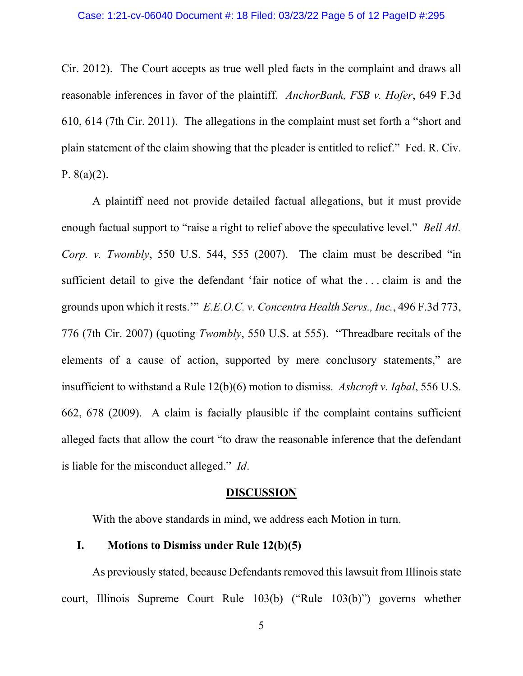Cir. 2012). The Court accepts as true well pled facts in the complaint and draws all reasonable inferences in favor of the plaintiff. *AnchorBank, FSB v. Hofer*, 649 F.3d 610, 614 (7th Cir. 2011). The allegations in the complaint must set forth a "short and plain statement of the claim showing that the pleader is entitled to relief." Fed. R. Civ. P.  $8(a)(2)$ .

A plaintiff need not provide detailed factual allegations, but it must provide enough factual support to "raise a right to relief above the speculative level." *Bell Atl. Corp. v. Twombly*, 550 U.S. 544, 555 (2007). The claim must be described "in sufficient detail to give the defendant 'fair notice of what the . . . claim is and the grounds upon which it rests.'" *E.E.O.C. v. Concentra Health Servs., Inc.*, 496 F.3d 773, 776 (7th Cir. 2007) (quoting *Twombly*, 550 U.S. at 555). "Threadbare recitals of the elements of a cause of action, supported by mere conclusory statements," are insufficient to withstand a Rule 12(b)(6) motion to dismiss. *Ashcroft v. Iqbal*, 556 U.S. 662, 678 (2009). A claim is facially plausible if the complaint contains sufficient alleged facts that allow the court "to draw the reasonable inference that the defendant is liable for the misconduct alleged." *Id*.

### **DISCUSSION**

With the above standards in mind, we address each Motion in turn.

## **I. Motions to Dismiss under Rule 12(b)(5)**

As previously stated, because Defendants removed this lawsuit from Illinois state court, Illinois Supreme Court Rule 103(b) ("Rule 103(b)") governs whether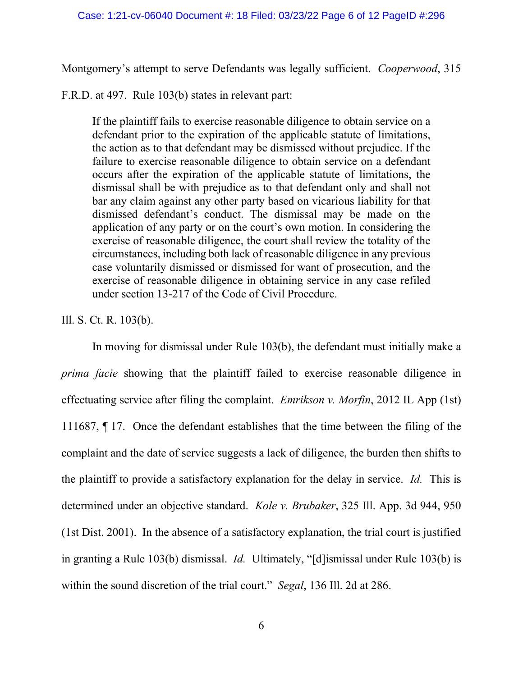Montgomery's attempt to serve Defendants was legally sufficient. *Cooperwood*, 315

F.R.D. at 497. Rule 103(b) states in relevant part:

If the plaintiff fails to exercise reasonable diligence to obtain service on a defendant prior to the expiration of the applicable statute of limitations, the action as to that defendant may be dismissed without prejudice. If the failure to exercise reasonable diligence to obtain service on a defendant occurs after the expiration of the applicable statute of limitations, the dismissal shall be with prejudice as to that defendant only and shall not bar any claim against any other party based on vicarious liability for that dismissed defendant's conduct. The dismissal may be made on the application of any party or on the court's own motion. In considering the exercise of reasonable diligence, the court shall review the totality of the circumstances, including both lack of reasonable diligence in any previous case voluntarily dismissed or dismissed for want of prosecution, and the exercise of reasonable diligence in obtaining service in any case refiled under section 13-217 of the Code of Civil Procedure.

## Ill. S. Ct. R. 103(b).

In moving for dismissal under Rule 103(b), the defendant must initially make a *prima facie* showing that the plaintiff failed to exercise reasonable diligence in effectuating service after filing the complaint. *Emrikson v. Morfin*, 2012 IL App (1st) 111687, ¶ 17. Once the defendant establishes that the time between the filing of the complaint and the date of service suggests a lack of diligence, the burden then shifts to the plaintiff to provide a satisfactory explanation for the delay in service. *Id.* This is determined under an objective standard. *Kole v. Brubaker*, 325 Ill. App. 3d 944, 950 (1st Dist. 2001). In the absence of a satisfactory explanation, the trial court is justified in granting a Rule 103(b) dismissal. *Id.* Ultimately, "[d]ismissal under Rule 103(b) is within the sound discretion of the trial court." *Segal*, 136 Ill. 2d at 286.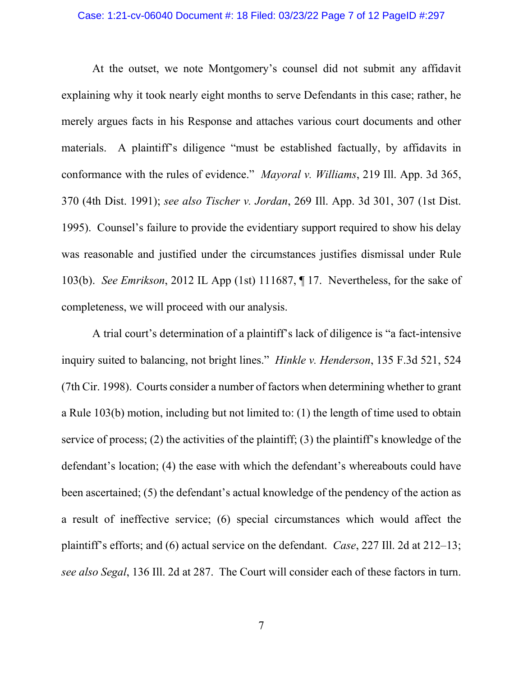### Case: 1:21-cv-06040 Document #: 18 Filed: 03/23/22 Page 7 of 12 PageID #:297

At the outset, we note Montgomery's counsel did not submit any affidavit explaining why it took nearly eight months to serve Defendants in this case; rather, he merely argues facts in his Response and attaches various court documents and other materials. A plaintiff's diligence "must be established factually, by affidavits in conformance with the rules of evidence." *Mayoral v. Williams*, 219 Ill. App. 3d 365, 370 (4th Dist. 1991); *see also Tischer v. Jordan*, 269 Ill. App. 3d 301, 307 (1st Dist. 1995). Counsel's failure to provide the evidentiary support required to show his delay was reasonable and justified under the circumstances justifies dismissal under Rule 103(b). *See Emrikson*, 2012 IL App (1st) 111687, ¶ 17. Nevertheless, for the sake of completeness, we will proceed with our analysis.

A trial court's determination of a plaintiff's lack of diligence is "a fact-intensive inquiry suited to balancing, not bright lines." *Hinkle v. Henderson*, 135 F.3d 521, 524 (7th Cir. 1998). Courts consider a number of factors when determining whether to grant a Rule 103(b) motion, including but not limited to: (1) the length of time used to obtain service of process; (2) the activities of the plaintiff; (3) the plaintiff's knowledge of the defendant's location; (4) the ease with which the defendant's whereabouts could have been ascertained; (5) the defendant's actual knowledge of the pendency of the action as a result of ineffective service; (6) special circumstances which would affect the plaintiff's efforts; and (6) actual service on the defendant. *Case*, 227 Ill. 2d at 212–13; *see also Segal*, 136 Ill. 2d at 287. The Court will consider each of these factors in turn.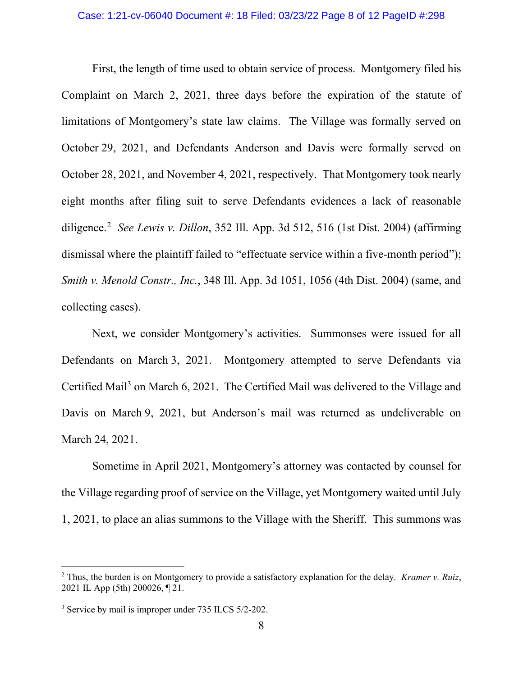### Case: 1:21-cv-06040 Document #: 18 Filed: 03/23/22 Page 8 of 12 PageID #:298

First, the length of time used to obtain service of process. Montgomery filed his Complaint on March 2, 2021, three days before the expiration of the statute of limitations of Montgomery's state law claims. The Village was formally served on October 29, 2021, and Defendants Anderson and Davis were formally served on October 28, 2021, and November 4, 2021, respectively. That Montgomery took nearly eight months after filing suit to serve Defendants evidences a lack of reasonable diligence.[2](#page-7-0) *See Lewis v. Dillon*, 352 Ill. App. 3d 512, 516 (1st Dist. 2004) (affirming dismissal where the plaintiff failed to "effectuate service within a five-month period"); *Smith v. Menold Constr., Inc.*, 348 Ill. App. 3d 1051, 1056 (4th Dist. 2004) (same, and collecting cases).

Next, we consider Montgomery's activities. Summonses were issued for all Defendants on March 3, 2021. Montgomery attempted to serve Defendants via Certified Mail<sup>[3](#page-7-1)</sup> on March 6, 2021. The Certified Mail was delivered to the Village and Davis on March 9, 2021, but Anderson's mail was returned as undeliverable on March 24, 2021.

Sometime in April 2021, Montgomery's attorney was contacted by counsel for the Village regarding proof of service on the Village, yet Montgomery waited until July 1, 2021, to place an alias summons to the Village with the Sheriff. This summons was

<span id="page-7-0"></span><sup>2</sup> Thus, the burden is on Montgomery to provide a satisfactory explanation for the delay. *Kramer v. Ruiz*, 2021 IL App (5th) 200026, ¶ 21.

<span id="page-7-1"></span><sup>&</sup>lt;sup>3</sup> Service by mail is improper under 735 ILCS 5/2-202.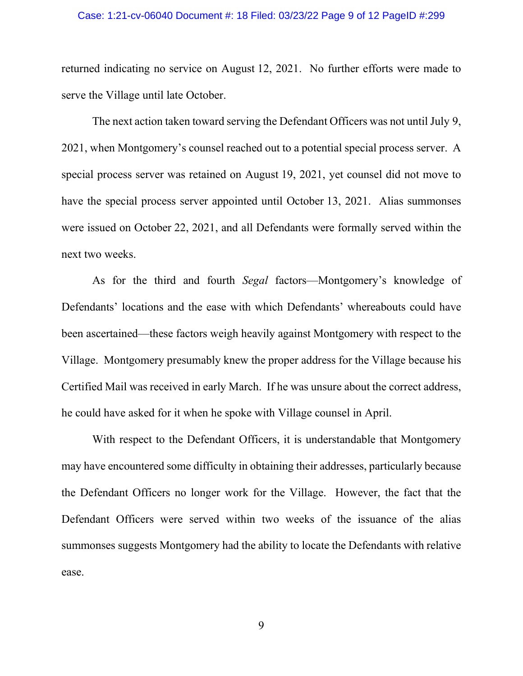### Case: 1:21-cv-06040 Document #: 18 Filed: 03/23/22 Page 9 of 12 PageID #:299

returned indicating no service on August 12, 2021. No further efforts were made to serve the Village until late October.

The next action taken toward serving the Defendant Officers was not until July 9, 2021, when Montgomery's counsel reached out to a potential special process server. A special process server was retained on August 19, 2021, yet counsel did not move to have the special process server appointed until October 13, 2021. Alias summonses were issued on October 22, 2021, and all Defendants were formally served within the next two weeks.

As for the third and fourth *Segal* factors—Montgomery's knowledge of Defendants' locations and the ease with which Defendants' whereabouts could have been ascertained—these factors weigh heavily against Montgomery with respect to the Village. Montgomery presumably knew the proper address for the Village because his Certified Mail was received in early March. If he was unsure about the correct address, he could have asked for it when he spoke with Village counsel in April.

With respect to the Defendant Officers, it is understandable that Montgomery may have encountered some difficulty in obtaining their addresses, particularly because the Defendant Officers no longer work for the Village. However, the fact that the Defendant Officers were served within two weeks of the issuance of the alias summonses suggests Montgomery had the ability to locate the Defendants with relative ease.

9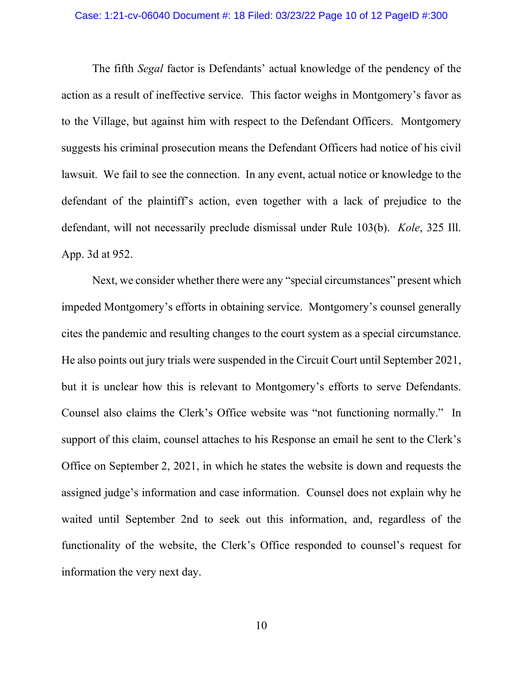### Case: 1:21-cv-06040 Document #: 18 Filed: 03/23/22 Page 10 of 12 PageID #:300

The fifth *Segal* factor is Defendants' actual knowledge of the pendency of the action as a result of ineffective service. This factor weighs in Montgomery's favor as to the Village, but against him with respect to the Defendant Officers. Montgomery suggests his criminal prosecution means the Defendant Officers had notice of his civil lawsuit. We fail to see the connection. In any event, actual notice or knowledge to the defendant of the plaintiff's action, even together with a lack of prejudice to the defendant, will not necessarily preclude dismissal under Rule 103(b). *Kole*, 325 Ill. App. 3d at 952.

Next, we consider whether there were any "special circumstances" present which impeded Montgomery's efforts in obtaining service. Montgomery's counsel generally cites the pandemic and resulting changes to the court system as a special circumstance. He also points out jury trials were suspended in the Circuit Court until September 2021, but it is unclear how this is relevant to Montgomery's efforts to serve Defendants. Counsel also claims the Clerk's Office website was "not functioning normally." In support of this claim, counsel attaches to his Response an email he sent to the Clerk's Office on September 2, 2021, in which he states the website is down and requests the assigned judge's information and case information. Counsel does not explain why he waited until September 2nd to seek out this information, and, regardless of the functionality of the website, the Clerk's Office responded to counsel's request for information the very next day.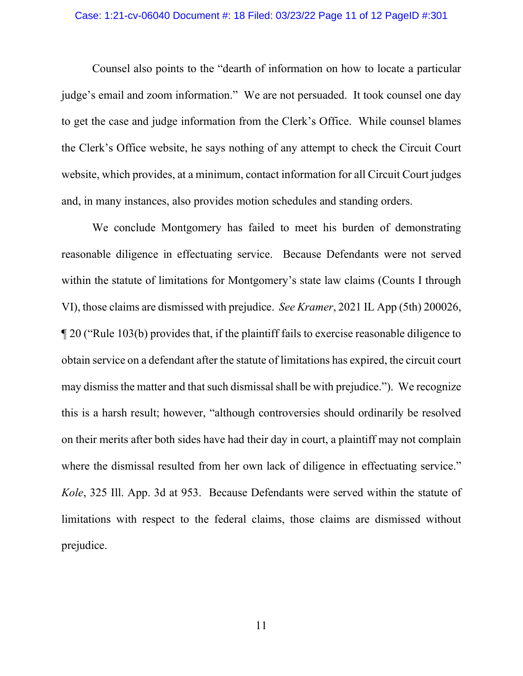### Case: 1:21-cv-06040 Document #: 18 Filed: 03/23/22 Page 11 of 12 PageID #:301

Counsel also points to the "dearth of information on how to locate a particular judge's email and zoom information." We are not persuaded. It took counsel one day to get the case and judge information from the Clerk's Office. While counsel blames the Clerk's Office website, he says nothing of any attempt to check the Circuit Court website, which provides, at a minimum, contact information for all Circuit Court judges and, in many instances, also provides motion schedules and standing orders.

We conclude Montgomery has failed to meet his burden of demonstrating reasonable diligence in effectuating service. Because Defendants were not served within the statute of limitations for Montgomery's state law claims (Counts I through VI), those claims are dismissed with prejudice. *See Kramer*, 2021 IL App (5th) 200026, ¶ 20 ("Rule 103(b) provides that, if the plaintiff fails to exercise reasonable diligence to obtain service on a defendant after the statute of limitations has expired, the circuit court may dismiss the matter and that such dismissal shall be with prejudice."). We recognize this is a harsh result; however, "although controversies should ordinarily be resolved on their merits after both sides have had their day in court, a plaintiff may not complain where the dismissal resulted from her own lack of diligence in effectuating service." *Kole*, 325 Ill. App. 3d at 953. Because Defendants were served within the statute of limitations with respect to the federal claims, those claims are dismissed without prejudice.